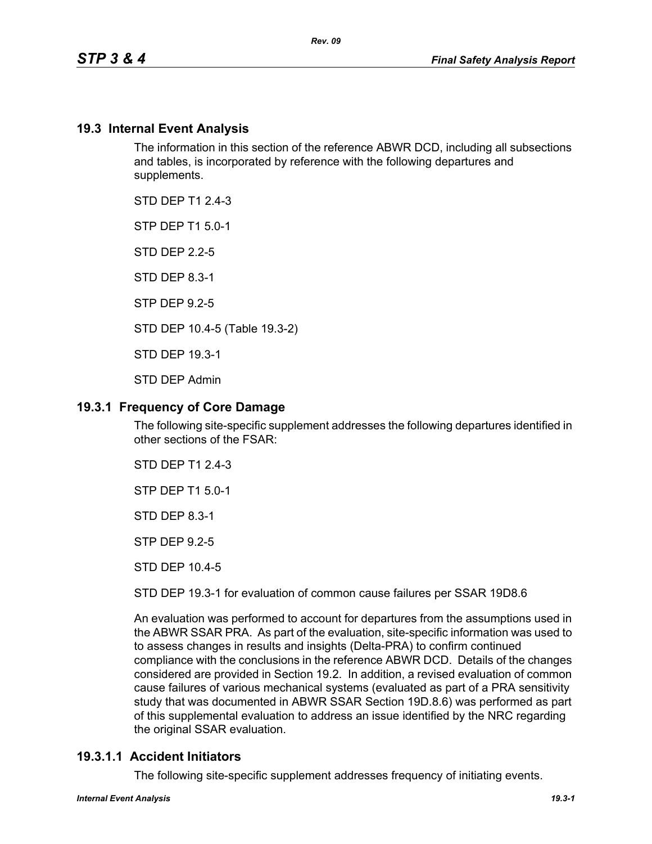## **19.3 Internal Event Analysis**

The information in this section of the reference ABWR DCD, including all subsections and tables, is incorporated by reference with the following departures and supplements.

STD DFP T1 2 4-3

STP DEP T1 5.0-1

STD DEP 2.2-5

STD DEP 8.3-1

STP DEP 9.2-5

STD DEP 10.4-5 (Table 19.3-2)

STD DEP 19.3-1

STD DEP Admin

## **19.3.1 Frequency of Core Damage**

The following site-specific supplement addresses the following departures identified in other sections of the FSAR:

STD DEP T1 2.4-3

STP DEP T1 5.0-1

STD DEP 8.3-1

STP DEP 9.2-5

STD DEP 10.4-5

STD DEP 19.3-1 for evaluation of common cause failures per SSAR 19D8.6

An evaluation was performed to account for departures from the assumptions used in the ABWR SSAR PRA. As part of the evaluation, site-specific information was used to to assess changes in results and insights (Delta-PRA) to confirm continued compliance with the conclusions in the reference ABWR DCD. Details of the changes considered are provided in Section 19.2. In addition, a revised evaluation of common cause failures of various mechanical systems (evaluated as part of a PRA sensitivity study that was documented in ABWR SSAR Section 19D.8.6) was performed as part of this supplemental evaluation to address an issue identified by the NRC regarding the original SSAR evaluation.

## **19.3.1.1 Accident Initiators**

The following site-specific supplement addresses frequency of initiating events.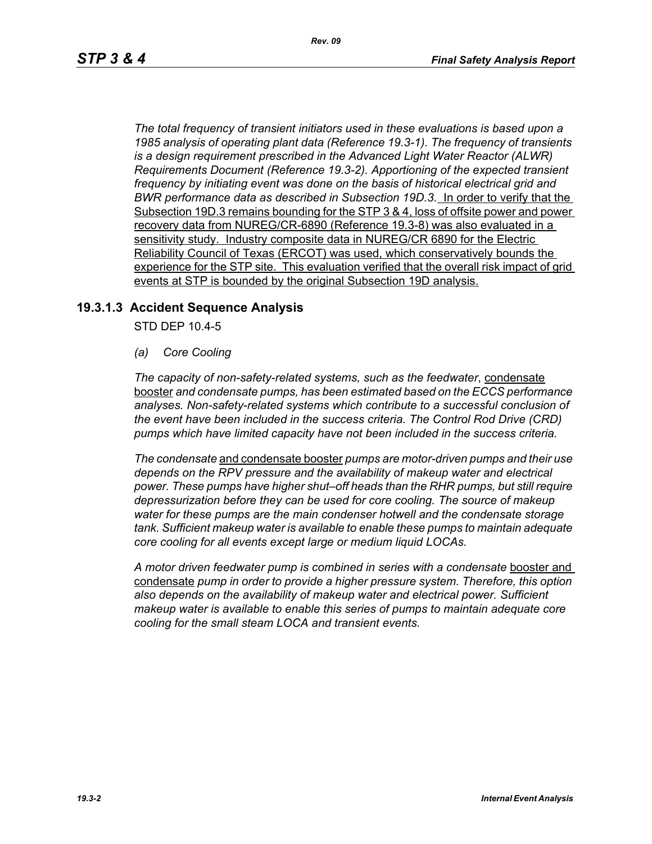*The total frequency of transient initiators used in these evaluations is based upon a 1985 analysis of operating plant data (Reference 19.3-1). The frequency of transients is a design requirement prescribed in the Advanced Light Water Reactor (ALWR) Requirements Document (Reference 19.3-2). Apportioning of the expected transient frequency by initiating event was done on the basis of historical electrical grid and BWR performance data as described in Subsection 19D.3.* In order to verify that the Subsection 19D.3 remains bounding for the STP 3 & 4, loss of offsite power and power recovery data from NUREG/CR-6890 (Reference 19.3-8) was also evaluated in a sensitivity study. Industry composite data in NUREG/CR 6890 for the Electric Reliability Council of Texas (ERCOT) was used, which conservatively bounds the experience for the STP site. This evaluation verified that the overall risk impact of grid events at STP is bounded by the original Subsection 19D analysis.

## **19.3.1.3 Accident Sequence Analysis**

STD DEP 10.4-5

*(a) Core Cooling*

*The capacity of non-safety-related systems, such as the feedwater*, condensate booster *and condensate pumps, has been estimated based on the ECCS performance analyses. Non-safety-related systems which contribute to a successful conclusion of the event have been included in the success criteria. The Control Rod Drive (CRD) pumps which have limited capacity have not been included in the success criteria.*

*The condensate* and condensate booster *pumps are motor-driven pumps and their use depends on the RPV pressure and the availability of makeup water and electrical power. These pumps have higher shut–off heads than the RHR pumps, but still require depressurization before they can be used for core cooling. The source of makeup water for these pumps are the main condenser hotwell and the condensate storage tank. Sufficient makeup water is available to enable these pumps to maintain adequate core cooling for all events except large or medium liquid LOCAs.*

*A motor driven feedwater pump is combined in series with a condensate* booster and condensate *pump in order to provide a higher pressure system. Therefore, this option also depends on the availability of makeup water and electrical power. Sufficient makeup water is available to enable this series of pumps to maintain adequate core cooling for the small steam LOCA and transient events.*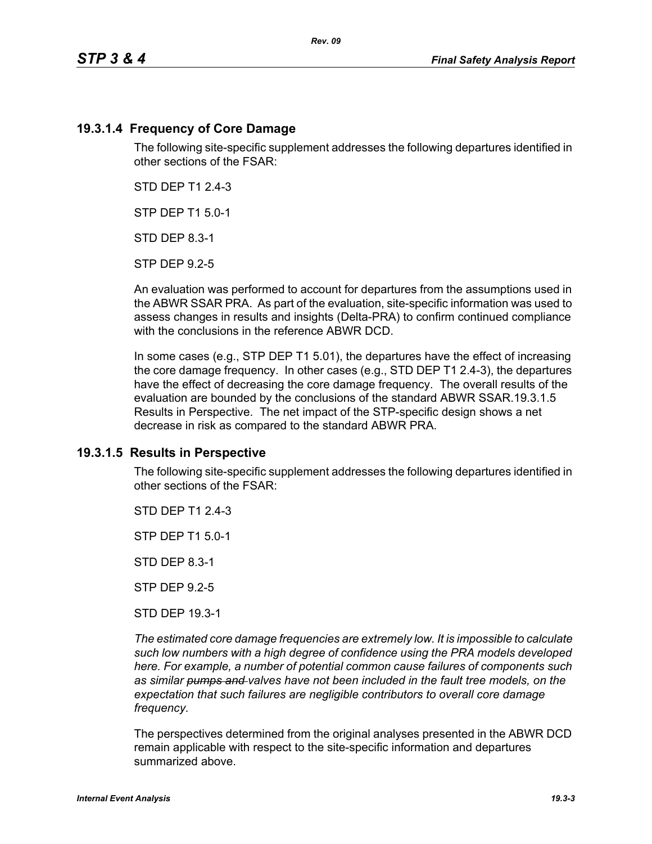## **19.3.1.4 Frequency of Core Damage**

The following site-specific supplement addresses the following departures identified in other sections of the FSAR:

STD DEP T1 2.4-3

STP DEP T1 5.0-1

STD DEP 8.3-1

STP DEP 9.2-5

An evaluation was performed to account for departures from the assumptions used in the ABWR SSAR PRA. As part of the evaluation, site-specific information was used to assess changes in results and insights (Delta-PRA) to confirm continued compliance with the conclusions in the reference ABWR DCD.

In some cases (e.g., STP DEP T1 5.01), the departures have the effect of increasing the core damage frequency. In other cases (e.g., STD DEP T1 2.4-3), the departures have the effect of decreasing the core damage frequency. The overall results of the evaluation are bounded by the conclusions of the standard ABWR SSAR.19.3.1.5 Results in Perspective. The net impact of the STP-specific design shows a net decrease in risk as compared to the standard ABWR PRA.

## **19.3.1.5 Results in Perspective**

The following site-specific supplement addresses the following departures identified in other sections of the FSAR:

STD DFP T1 2 4-3

STP DEP T1 5.0-1

STD DEP 8.3-1

STP DEP 9.2-5

STD DEP 19.3-1

*The estimated core damage frequencies are extremely low. It is impossible to calculate such low numbers with a high degree of confidence using the PRA models developed here. For example, a number of potential common cause failures of components such as similar pumps and valves have not been included in the fault tree models, on the expectation that such failures are negligible contributors to overall core damage frequency.*

The perspectives determined from the original analyses presented in the ABWR DCD remain applicable with respect to the site-specific information and departures summarized above.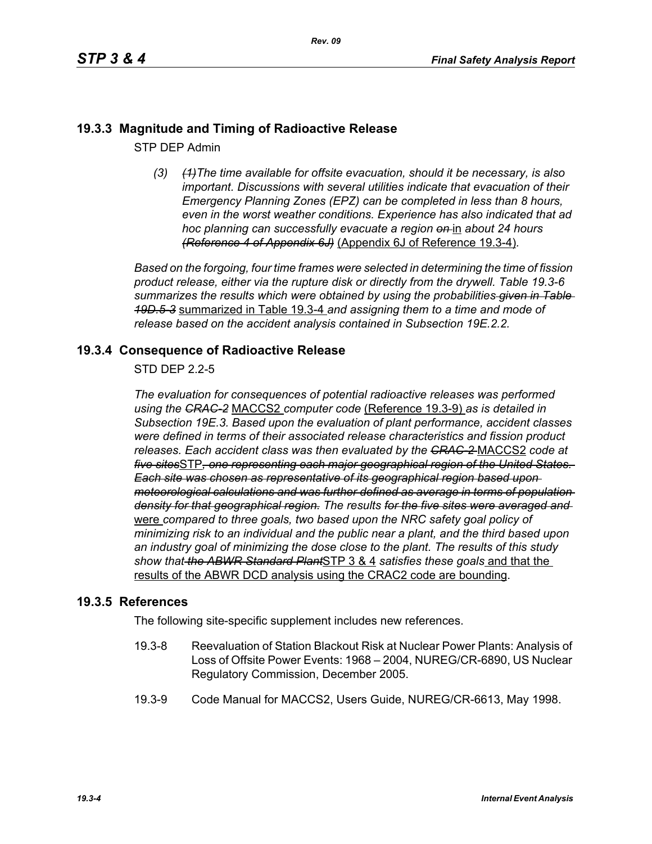# **19.3.3 Magnitude and Timing of Radioactive Release**

STP DEP Admin

*(3) (1)The time available for offsite evacuation, should it be necessary, is also important. Discussions with several utilities indicate that evacuation of their Emergency Planning Zones (EPZ) can be completed in less than 8 hours, even in the worst weather conditions. Experience has also indicated that ad hoc planning can successfully evacuate a region on* in *about 24 hours (Reference 4 of Appendix 6J)* (Appendix 6J of Reference 19.3-4)*.*

*Based on the forgoing, four time frames were selected in determining the time of fission product release, either via the rupture disk or directly from the drywell. Table 19.3-6 summarizes the results which were obtained by using the probabilities given in Table 19D.5-3* summarized in Table 19.3-4 *and assigning them to a time and mode of release based on the accident analysis contained in Subsection 19E.2.2.*

## **19.3.4 Consequence of Radioactive Release**

STD DEP 2.2-5

*The evaluation for consequences of potential radioactive releases was performed using the CRAC-2* MACCS2 *computer code* (Reference 19.3-9) *as is detailed in Subsection 19E.3. Based upon the evaluation of plant performance, accident classes were defined in terms of their associated release characteristics and fission product releases. Each accident class was then evaluated by the CRAC-2* MACCS2 *code at five sites*STP*, one representing each major geographical region of the United States. Each site was chosen as representative of its geographical region based upon meteorological calculations and was further defined as average in terms of population density for that geographical region. The results for the five sites were averaged and*  were *compared to three goals, two based upon the NRC safety goal policy of minimizing risk to an individual and the public near a plant, and the third based upon an industry goal of minimizing the dose close to the plant. The results of this study show that the ABWR Standard Plant*STP 3 & 4 *satisfies these goals* and that the results of the ABWR DCD analysis using the CRAC2 code are bounding.

## **19.3.5 References**

The following site-specific supplement includes new references.

- 19.3-8 Reevaluation of Station Blackout Risk at Nuclear Power Plants: Analysis of Loss of Offsite Power Events: 1968 – 2004, NUREG/CR-6890, US Nuclear Regulatory Commission, December 2005.
- 19.3-9 Code Manual for MACCS2, Users Guide, NUREG/CR-6613, May 1998.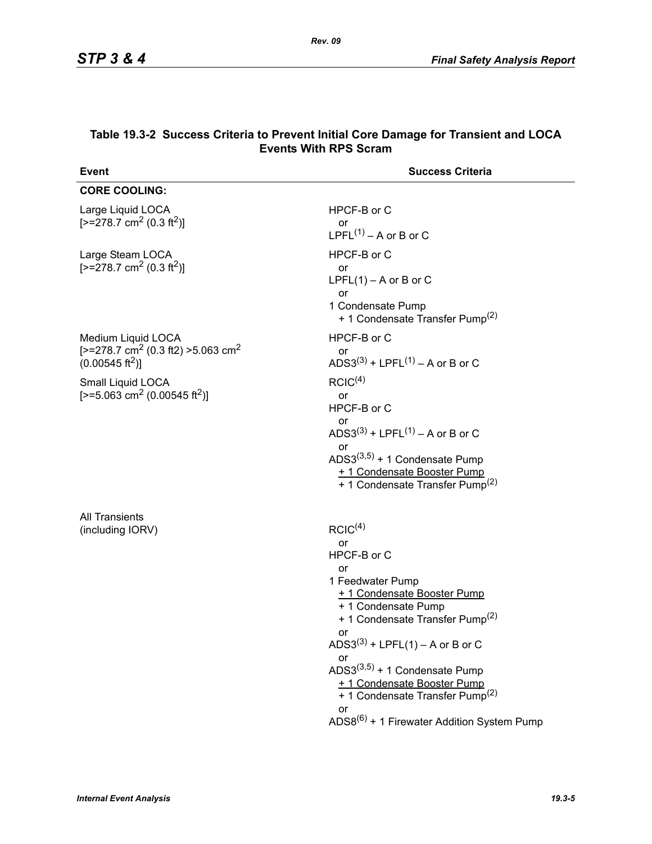| <b>Event</b>                                                                                                          | <b>Success Criteria</b>                                                                                                                                                                                                                                                                                                                                                                                                |
|-----------------------------------------------------------------------------------------------------------------------|------------------------------------------------------------------------------------------------------------------------------------------------------------------------------------------------------------------------------------------------------------------------------------------------------------------------------------------------------------------------------------------------------------------------|
| <b>CORE COOLING:</b>                                                                                                  |                                                                                                                                                                                                                                                                                                                                                                                                                        |
| Large Liquid LOCA<br>$[-278.7 \text{ cm}^2 (0.3 \text{ ft}^2)]$                                                       | HPCF-B or C<br>or<br>LPFL $(1)$ – A or B or C                                                                                                                                                                                                                                                                                                                                                                          |
| Large Steam LOCA<br>$[-278.7 \text{ cm}^2 (0.3 \text{ ft}^2)]$                                                        | HPCF-B or C<br>or<br>$LPFL(1) - A$ or B or C<br>or<br>1 Condensate Pump<br>+ 1 Condensate Transfer Pump <sup>(2)</sup>                                                                                                                                                                                                                                                                                                 |
| Medium Liquid LOCA<br>[ $>=$ 278.7 cm <sup>2</sup> (0.3 ft2) $>=$ 5.063 cm <sup>2</sup><br>$(0.00545 \text{ ft}^2)$ ] | HPCF-B or C<br>or<br>ADS3(3) + LPFL(1) – A or B or C                                                                                                                                                                                                                                                                                                                                                                   |
| Small Liquid LOCA<br>[>=5.063 cm <sup>2</sup> (0.00545 ft <sup>2</sup> )]                                             | RCIC <sup>(4)</sup><br>or<br>HPCF-B or C<br>or<br>ADS3(3) + LPFL(1) – A or B or C<br>or<br>ADS3 $(3,5)$ + 1 Condensate Pump<br>+ 1 Condensate Booster Pump<br>+ 1 Condensate Transfer Pump <sup>(2)</sup>                                                                                                                                                                                                              |
| <b>All Transients</b><br>(including IORV)                                                                             | RCIC <sup>(4)</sup><br>or<br>HPCF-B or C<br>or<br>1 Feedwater Pump<br>+ 1 Condensate Booster Pump<br>+ 1 Condensate Pump<br>+ 1 Condensate Transfer Pump <sup>(2)</sup><br>or<br>ADS3 <sup>(3)</sup> + LPFL(1) – A or B or C<br>or<br>$ADS3^{(3,5)} + 1$ Condensate Pump<br>+ 1 Condensate Booster Pump<br>+ 1 Condensate Transfer Pump <sup>(2)</sup><br>or<br>ADS8 <sup>(6)</sup> + 1 Firewater Addition System Pump |

#### **Table 19.3-2 Success Criteria to Prevent Initial Core Damage for Transient and LOCA Events With RPS Scram**